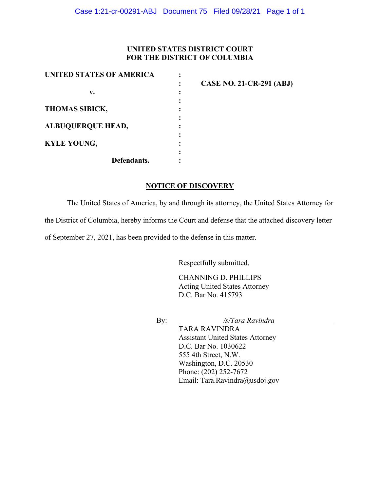## **UNITED STATES DISTRICT COURT FOR THE DISTRICT OF COLUMBIA**

| UNITED STATES OF AMERICA |                                 |
|--------------------------|---------------------------------|
|                          | <b>CASE NO. 21-CR-291 (ABJ)</b> |
| v.                       |                                 |
|                          |                                 |
| <b>THOMAS SIBICK,</b>    |                                 |
|                          |                                 |
| <b>ALBUQUERQUE HEAD,</b> |                                 |
|                          |                                 |
| <b>KYLE YOUNG,</b>       |                                 |
|                          |                                 |
| Defendants.              |                                 |

## **NOTICE OF DISCOVERY**

The United States of America, by and through its attorney, the United States Attorney for

the District of Columbia, hereby informs the Court and defense that the attached discovery letter

of September 27, 2021, has been provided to the defense in this matter.

Respectfully submitted,

CHANNING D. PHILLIPS Acting United States Attorney D.C. Bar No. 415793

By: */s/Tara Ravindra*

TARA RAVINDRA Assistant United States Attorney D.C. Bar No. 1030622 555 4th Street, N.W. Washington, D.C. 20530 Phone: (202) 252-7672 Email: Tara.Ravindra@usdoj.gov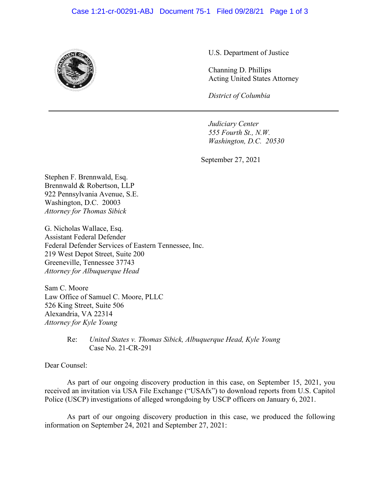## Case 1:21-cr-00291-ABJ Document 75-1 Filed 09/28/21 Page 1 of 3



U.S. Department of Justice

Channing D. Phillips Acting United States Attorney

*District of Columbia*

*Judiciary Center 555 Fourth St., N.W. Washington, D.C. 20530*

September 27, 2021

Stephen F. Brennwald, Esq. Brennwald & Robertson, LLP 922 Pennsylvania Avenue, S.E. Washington, D.C. 20003 *Attorney for Thomas Sibick*

G. Nicholas Wallace, Esq. Assistant Federal Defender Federal Defender Services of Eastern Tennessee, Inc. 219 West Depot Street, Suite 200 Greeneville, Tennessee 37743 *Attorney for Albuquerque Head* 

Sam C. Moore Law Office of Samuel C. Moore, PLLC 526 King Street, Suite 506 Alexandria, VA 22314 *Attorney for Kyle Young*

> Re: *United States v. Thomas Sibick, Albuquerque Head, Kyle Young* Case No. 21-CR-291

Dear Counsel:

As part of our ongoing discovery production in this case, on September 15, 2021, you received an invitation via USA File Exchange ("USAfx") to download reports from U.S. Capitol Police (USCP) investigations of alleged wrongdoing by USCP officers on January 6, 2021.

As part of our ongoing discovery production in this case, we produced the following information on September 24, 2021 and September 27, 2021: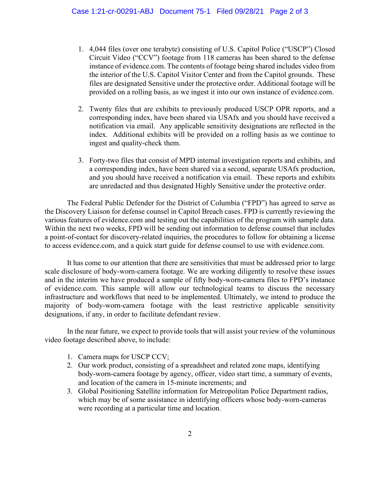- 1. 4,044 files (over one terabyte) consisting of U.S. Capitol Police ("USCP") Closed Circuit Video ("CCV") footage from 118 cameras has been shared to the defense instance of evidence.com. The contents of footage being shared includes video from the interior of the U.S. Capitol Visitor Center and from the Capitol grounds. These files are designated Sensitive under the protective order. Additional footage will be provided on a rolling basis, as we ingest it into our own instance of evidence.com.
- 2. Twenty files that are exhibits to previously produced USCP OPR reports, and a corresponding index, have been shared via USAfx and you should have received a notification via email. Any applicable sensitivity designations are reflected in the index. Additional exhibits will be provided on a rolling basis as we continue to ingest and quality-check them.
- 3. Forty-two files that consist of MPD internal investigation reports and exhibits, and a corresponding index, have been shared via a second, separate USAfx production, and you should have received a notification via email. These reports and exhibits are unredacted and thus designated Highly Sensitive under the protective order.

The Federal Public Defender for the District of Columbia ("FPD") has agreed to serve as the Discovery Liaison for defense counsel in Capitol Breach cases. FPD is currently reviewing the various features of evidence.com and testing out the capabilities of the program with sample data. Within the next two weeks, FPD will be sending out information to defense counsel that includes a point-of-contact for discovery-related inquiries, the procedures to follow for obtaining a license to access evidence.com, and a quick start guide for defense counsel to use with evidence.com.

It has come to our attention that there are sensitivities that must be addressed prior to large scale disclosure of body-worn-camera footage. We are working diligently to resolve these issues and in the interim we have produced a sample of fifty body-worn-camera files to FPD's instance of evidence.com. This sample will allow our technological teams to discuss the necessary infrastructure and workflows that need to be implemented. Ultimately, we intend to produce the majority of body-worn-camera footage with the least restrictive applicable sensitivity designations, if any, in order to facilitate defendant review.

In the near future, we expect to provide tools that will assist your review of the voluminous video footage described above, to include:

- 1. Camera maps for USCP CCV;
- 2. Our work product, consisting of a spreadsheet and related zone maps, identifying body-worn-camera footage by agency, officer, video start time, a summary of events, and location of the camera in 15-minute increments; and
- 3. Global Positioning Satellite information for Metropolitan Police Department radios, which may be of some assistance in identifying officers whose body-worn-cameras were recording at a particular time and location.